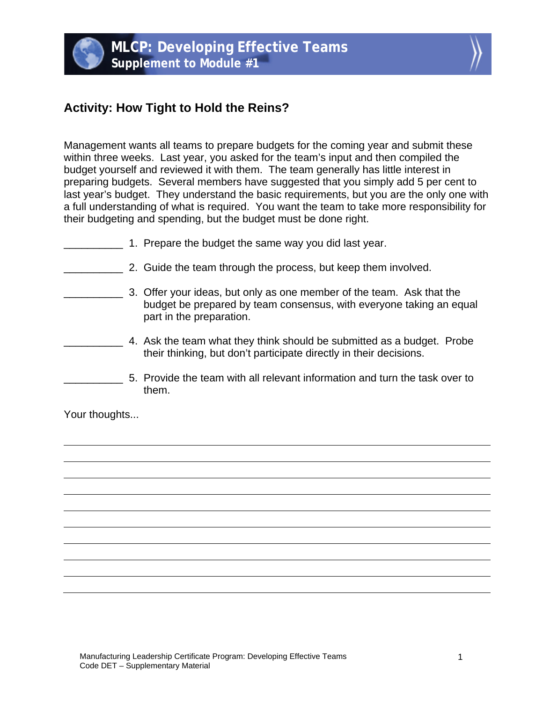



## **Activity: How Tight to Hold the Reins?**

Management wants all teams to prepare budgets for the coming year and submit these within three weeks. Last year, you asked for the team's input and then compiled the budget yourself and reviewed it with them. The team generally has little interest in preparing budgets. Several members have suggested that you simply add 5 per cent to last year's budget. They understand the basic requirements, but you are the only one with a full understanding of what is required. You want the team to take more responsibility for their budgeting and spending, but the budget must be done right.

- 1. Prepare the budget the same way you did last year.
- **2.** Guide the team through the process, but keep them involved.
	- **EXECUTE:** 3. Offer your ideas, but only as one member of the team. Ask that the budget be prepared by team consensus, with everyone taking an equal part in the preparation.
		- \_\_\_\_\_\_\_\_\_\_ 4. Ask the team what they think should be submitted as a budget. Probe their thinking, but don't participate directly in their decisions.
- \_\_\_\_\_\_\_\_\_\_ 5. Provide the team with all relevant information and turn the task over to them.

Your thoughts...